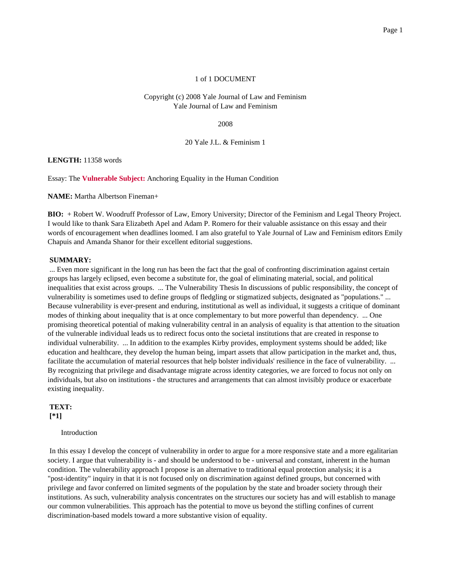# 1 of 1 DOCUMENT

# Copyright (c) 2008 Yale Journal of Law and Feminism Yale Journal of Law and Feminism

2008

20 Yale J.L. & Feminism 1

**LENGTH:** 11358 words

Essay: The **Vulnerable Subject:** Anchoring Equality in the Human Condition

**NAME:** Martha Albertson Fineman+

**BIO:** + Robert W. Woodruff Professor of Law, Emory University; Director of the Feminism and Legal Theory Project. I would like to thank Sara Elizabeth Apel and Adam P. Romero for their valuable assistance on this essay and their words of encouragement when deadlines loomed. I am also grateful to Yale Journal of Law and Feminism editors Emily Chapuis and Amanda Shanor for their excellent editorial suggestions.

# **SUMMARY:**

... Even more significant in the long run has been the fact that the goal of confronting discrimination against certain groups has largely eclipsed, even become a substitute for, the goal of eliminating material, social, and political inequalities that exist across groups. ... The Vulnerability Thesis In discussions of public responsibility, the concept of vulnerability is sometimes used to define groups of fledgling or stigmatized subjects, designated as "populations." ... Because vulnerability is ever-present and enduring, institutional as well as individual, it suggests a critique of dominant modes of thinking about inequality that is at once complementary to but more powerful than dependency. ... One promising theoretical potential of making vulnerability central in an analysis of equality is that attention to the situation of the vulnerable individual leads us to redirect focus onto the societal institutions that are created in response to individual vulnerability. ... In addition to the examples Kirby provides, employment systems should be added; like education and healthcare, they develop the human being, impart assets that allow participation in the market and, thus, facilitate the accumulation of material resources that help bolster individuals' resilience in the face of vulnerability. ... By recognizing that privilege and disadvantage migrate across identity categories, we are forced to focus not only on individuals, but also on institutions - the structures and arrangements that can almost invisibly produce or exacerbate existing inequality.

**TEXT: [\*1]**

## Introduction

In this essay I develop the concept of vulnerability in order to argue for a more responsive state and a more egalitarian society. I argue that vulnerability is - and should be understood to be - universal and constant, inherent in the human condition. The vulnerability approach I propose is an alternative to traditional equal protection analysis; it is a "post-identity" inquiry in that it is not focused only on discrimination against defined groups, but concerned with privilege and favor conferred on limited segments of the population by the state and broader society through their institutions. As such, vulnerability analysis concentrates on the structures our society has and will establish to manage our common vulnerabilities. This approach has the potential to move us beyond the stifling confines of current discrimination-based models toward a more substantive vision of equality.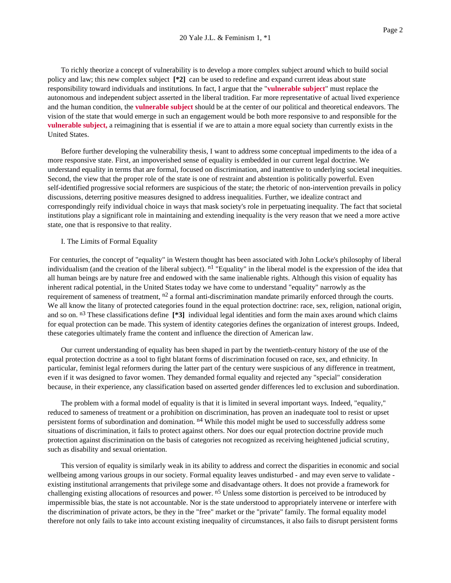To richly theorize a concept of vulnerability is to develop a more complex subject around which to build social policy and law; this new complex subject **[\*2]** can be used to redefine and expand current ideas about state responsibility toward individuals and institutions. In fact, I argue that the "**vulnerable subject**" must replace the autonomous and independent subject asserted in the liberal tradition. Far more representative of actual lived experience and the human condition, the **vulnerable subject** should be at the center of our political and theoretical endeavors. The vision of the state that would emerge in such an engagement would be both more responsive to and responsible for the **vulnerable subject,** a reimagining that is essential if we are to attain a more equal society than currently exists in the United States.

Before further developing the vulnerability thesis, I want to address some conceptual impediments to the idea of a more responsive state. First, an impoverished sense of equality is embedded in our current legal doctrine. We understand equality in terms that are formal, focused on discrimination, and inattentive to underlying societal inequities. Second, the view that the proper role of the state is one of restraint and abstention is politically powerful. Even self-identified progressive social reformers are suspicious of the state; the rhetoric of non-intervention prevails in policy discussions, deterring positive measures designed to address inequalities. Further, we idealize contract and correspondingly reify individual choice in ways that mask society's role in perpetuating inequality. The fact that societal institutions play a significant role in maintaining and extending inequality is the very reason that we need a more active state, one that is responsive to that reality.

### I. The Limits of Formal Equality

For centuries, the concept of "equality" in Western thought has been associated with John Locke's philosophy of liberal individualism (and the creation of the liberal subject).  $n_1$  "Equality" in the liberal model is the expression of the idea that all human beings are by nature free and endowed with the same inalienable rights. Although this vision of equality has inherent radical potential, in the United States today we have come to understand "equality" narrowly as the requirement of sameness of treatment,  $n^2$  a formal anti-discrimination mandate primarily enforced through the courts. We all know the litany of protected categories found in the equal protection doctrine: race, sex, religion, national origin, and so on. n3 These classifications define **[\*3]** individual legal identities and form the main axes around which claims for equal protection can be made. This system of identity categories defines the organization of interest groups. Indeed, these categories ultimately frame the content and influence the direction of American law.

Our current understanding of equality has been shaped in part by the twentieth-century history of the use of the equal protection doctrine as a tool to fight blatant forms of discrimination focused on race, sex, and ethnicity. In particular, feminist legal reformers during the latter part of the century were suspicious of any difference in treatment, even if it was designed to favor women. They demanded formal equality and rejected any "special" consideration because, in their experience, any classification based on asserted gender differences led to exclusion and subordination.

The problem with a formal model of equality is that it is limited in several important ways. Indeed, "equality," reduced to sameness of treatment or a prohibition on discrimination, has proven an inadequate tool to resist or upset persistent forms of subordination and domination.  $n<sup>4</sup>$  While this model might be used to successfully address some situations of discrimination, it fails to protect against others. Nor does our equal protection doctrine provide much protection against discrimination on the basis of categories not recognized as receiving heightened judicial scrutiny, such as disability and sexual orientation.

This version of equality is similarly weak in its ability to address and correct the disparities in economic and social wellbeing among various groups in our society. Formal equality leaves undisturbed - and may even serve to validate existing institutional arrangements that privilege some and disadvantage others. It does not provide a framework for challenging existing allocations of resources and power. n<sup>5</sup> Unless some distortion is perceived to be introduced by impermissible bias, the state is not accountable. Nor is the state understood to appropriately intervene or interfere with the discrimination of private actors, be they in the "free" market or the "private" family. The formal equality model therefore not only fails to take into account existing inequality of circumstances, it also fails to disrupt persistent forms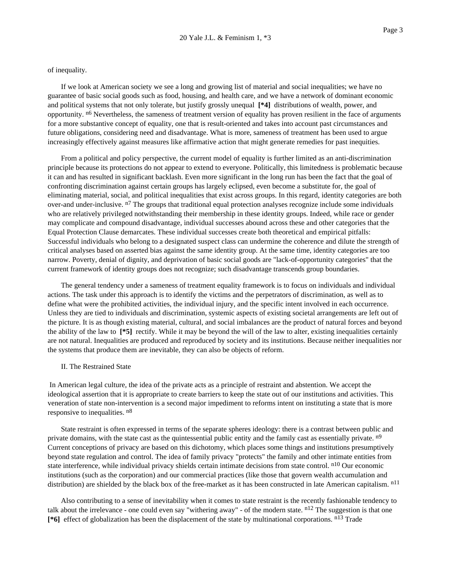of inequality.

If we look at American society we see a long and growing list of material and social inequalities; we have no guarantee of basic social goods such as food, housing, and health care, and we have a network of dominant economic and political systems that not only tolerate, but justify grossly unequal **[\*4]** distributions of wealth, power, and opportunity. <sup>n6</sup> Nevertheless, the sameness of treatment version of equality has proven resilient in the face of arguments for a more substantive concept of equality, one that is result-oriented and takes into account past circumstances and future obligations, considering need and disadvantage. What is more, sameness of treatment has been used to argue increasingly effectively against measures like affirmative action that might generate remedies for past inequities.

From a political and policy perspective, the current model of equality is further limited as an anti-discrimination principle because its protections do not appear to extend to everyone. Politically, this limitedness is problematic because it can and has resulted in significant backlash. Even more significant in the long run has been the fact that the goal of confronting discrimination against certain groups has largely eclipsed, even become a substitute for, the goal of eliminating material, social, and political inequalities that exist across groups. In this regard, identity categories are both over-and under-inclusive. <sup>n7</sup> The groups that traditional equal protection analyses recognize include some individuals who are relatively privileged notwithstanding their membership in these identity groups. Indeed, while race or gender may complicate and compound disadvantage, individual successes abound across these and other categories that the Equal Protection Clause demarcates. These individual successes create both theoretical and empirical pitfalls: Successful individuals who belong to a designated suspect class can undermine the coherence and dilute the strength of critical analyses based on asserted bias against the same identity group. At the same time, identity categories are too narrow. Poverty, denial of dignity, and deprivation of basic social goods are "lack-of-opportunity categories" that the current framework of identity groups does not recognize; such disadvantage transcends group boundaries.

The general tendency under a sameness of treatment equality framework is to focus on individuals and individual actions. The task under this approach is to identify the victims and the perpetrators of discrimination, as well as to define what were the prohibited activities, the individual injury, and the specific intent involved in each occurrence. Unless they are tied to individuals and discrimination, systemic aspects of existing societal arrangements are left out of the picture. It is as though existing material, cultural, and social imbalances are the product of natural forces and beyond the ability of the law to **[\*5]** rectify. While it may be beyond the will of the law to alter, existing inequalities certainly are not natural. Inequalities are produced and reproduced by society and its institutions. Because neither inequalities nor the systems that produce them are inevitable, they can also be objects of reform.

# II. The Restrained State

In American legal culture, the idea of the private acts as a principle of restraint and abstention. We accept the ideological assertion that it is appropriate to create barriers to keep the state out of our institutions and activities. This veneration of state non-intervention is a second major impediment to reforms intent on instituting a state that is more responsive to inequalities. n8

State restraint is often expressed in terms of the separate spheres ideology: there is a contrast between public and private domains, with the state cast as the quintessential public entity and the family cast as essentially private. n<sup>9</sup> Current conceptions of privacy are based on this dichotomy, which places some things and institutions presumptively beyond state regulation and control. The idea of family privacy "protects" the family and other intimate entities from state interference, while individual privacy shields certain intimate decisions from state control. n<sup>10</sup> Our economic institutions (such as the corporation) and our commercial practices (like those that govern wealth accumulation and distribution) are shielded by the black box of the free-market as it has been constructed in late American capitalism.  $n<sup>11</sup>$ 

Also contributing to a sense of inevitability when it comes to state restraint is the recently fashionable tendency to talk about the irrelevance - one could even say "withering away" - of the modern state. n<sup>12</sup> The suggestion is that one **[\*6]** effect of globalization has been the displacement of the state by multinational corporations. n13 Trade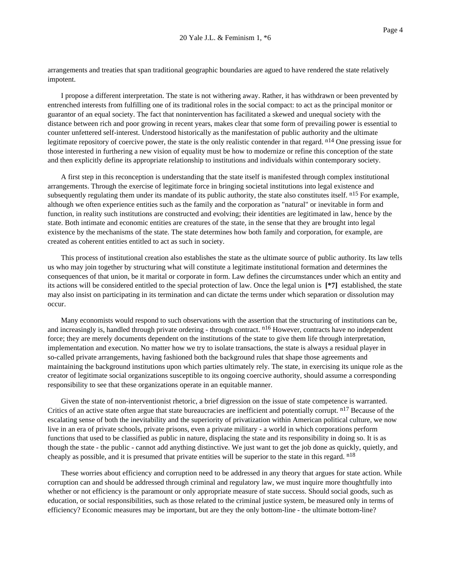arrangements and treaties that span traditional geographic boundaries are agued to have rendered the state relatively impotent.

I propose a different interpretation. The state is not withering away. Rather, it has withdrawn or been prevented by entrenched interests from fulfilling one of its traditional roles in the social compact: to act as the principal monitor or guarantor of an equal society. The fact that nonintervention has facilitated a skewed and unequal society with the distance between rich and poor growing in recent years, makes clear that some form of prevailing power is essential to counter unfettered self-interest. Understood historically as the manifestation of public authority and the ultimate legitimate repository of coercive power, the state is the only realistic contender in that regard. <sup>n14</sup> One pressing issue for those interested in furthering a new vision of equality must be how to modernize or refine this conception of the state and then explicitly define its appropriate relationship to institutions and individuals within contemporary society.

A first step in this reconception is understanding that the state itself is manifested through complex institutional arrangements. Through the exercise of legitimate force in bringing societal institutions into legal existence and subsequently regulating them under its mandate of its public authority, the state also constitutes itself.  $^{n15}$  For example, although we often experience entities such as the family and the corporation as "natural" or inevitable in form and function, in reality such institutions are constructed and evolving; their identities are legitimated in law, hence by the state. Both intimate and economic entities are creatures of the state, in the sense that they are brought into legal existence by the mechanisms of the state. The state determines how both family and corporation, for example, are created as coherent entities entitled to act as such in society.

This process of institutional creation also establishes the state as the ultimate source of public authority. Its law tells us who may join together by structuring what will constitute a legitimate institutional formation and determines the consequences of that union, be it marital or corporate in form. Law defines the circumstances under which an entity and its actions will be considered entitled to the special protection of law. Once the legal union is **[\*7]** established, the state may also insist on participating in its termination and can dictate the terms under which separation or dissolution may occur.

Many economists would respond to such observations with the assertion that the structuring of institutions can be, and increasingly is, handled through private ordering - through contract. <sup>n16</sup> However, contracts have no independent force; they are merely documents dependent on the institutions of the state to give them life through interpretation, implementation and execution. No matter how we try to isolate transactions, the state is always a residual player in so-called private arrangements, having fashioned both the background rules that shape those agreements and maintaining the background institutions upon which parties ultimately rely. The state, in exercising its unique role as the creator of legitimate social organizations susceptible to its ongoing coercive authority, should assume a corresponding responsibility to see that these organizations operate in an equitable manner.

Given the state of non-interventionist rhetoric, a brief digression on the issue of state competence is warranted. Critics of an active state often argue that state bureaucracies are inefficient and potentially corrupt. <sup>n17</sup> Because of the escalating sense of both the inevitability and the superiority of privatization within American political culture, we now live in an era of private schools, private prisons, even a private military - a world in which corporations perform functions that used to be classified as public in nature, displacing the state and its responsibility in doing so. It is as though the state - the public - cannot add anything distinctive. We just want to get the job done as quickly, quietly, and cheaply as possible, and it is presumed that private entities will be superior to the state in this regard. <sup>n18</sup>

These worries about efficiency and corruption need to be addressed in any theory that argues for state action. While corruption can and should be addressed through criminal and regulatory law, we must inquire more thoughtfully into whether or not efficiency is the paramount or only appropriate measure of state success. Should social goods, such as education, or social responsibilities, such as those related to the criminal justice system, be measured only in terms of efficiency? Economic measures may be important, but are they the only bottom-line - the ultimate bottom-line?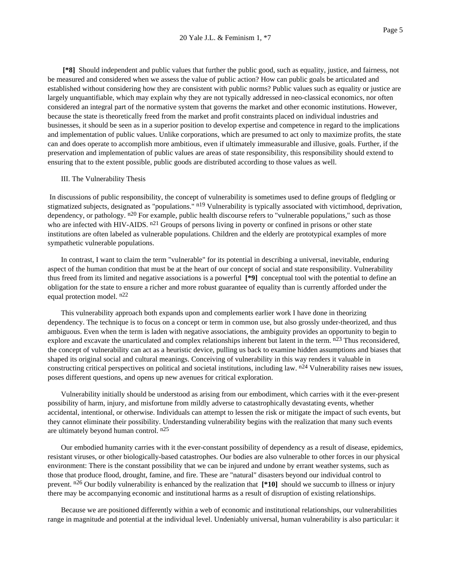**[\*8]** Should independent and public values that further the public good, such as equality, justice, and fairness, not be measured and considered when we assess the value of public action? How can public goals be articulated and established without considering how they are consistent with public norms? Public values such as equality or justice are largely unquantifiable, which may explain why they are not typically addressed in neo-classical economics, nor often considered an integral part of the normative system that governs the market and other economic institutions. However, because the state is theoretically freed from the market and profit constraints placed on individual industries and businesses, it should be seen as in a superior position to develop expertise and competence in regard to the implications and implementation of public values. Unlike corporations, which are presumed to act only to maximize profits, the state can and does operate to accomplish more ambitious, even if ultimately immeasurable and illusive, goals. Further, if the preservation and implementation of public values are areas of state responsibility, this responsibility should extend to ensuring that to the extent possible, public goods are distributed according to those values as well.

## III. The Vulnerability Thesis

In discussions of public responsibility, the concept of vulnerability is sometimes used to define groups of fledgling or stigmatized subjects, designated as "populations." n<sup>19</sup> Vulnerability is typically associated with victimhood, deprivation, dependency, or pathology.  $n^{20}$  For example, public health discourse refers to "vulnerable populations," such as those who are infected with HIV-AIDS. n<sup>21</sup> Groups of persons living in poverty or confined in prisons or other state institutions are often labeled as vulnerable populations. Children and the elderly are prototypical examples of more sympathetic vulnerable populations.

In contrast, I want to claim the term "vulnerable" for its potential in describing a universal, inevitable, enduring aspect of the human condition that must be at the heart of our concept of social and state responsibility. Vulnerability thus freed from its limited and negative associations is a powerful **[\*9]** conceptual tool with the potential to define an obligation for the state to ensure a richer and more robust guarantee of equality than is currently afforded under the equal protection model.  $n22$ 

This vulnerability approach both expands upon and complements earlier work I have done in theorizing dependency. The technique is to focus on a concept or term in common use, but also grossly under-theorized, and thus ambiguous. Even when the term is laden with negative associations, the ambiguity provides an opportunity to begin to explore and excavate the unarticulated and complex relationships inherent but latent in the term. n<sup>23</sup> Thus reconsidered, the concept of vulnerability can act as a heuristic device, pulling us back to examine hidden assumptions and biases that shaped its original social and cultural meanings. Conceiving of vulnerability in this way renders it valuable in constructing critical perspectives on political and societal institutions, including law. n<sup>24</sup> Vulnerability raises new issues, poses different questions, and opens up new avenues for critical exploration.

Vulnerability initially should be understood as arising from our embodiment, which carries with it the ever-present possibility of harm, injury, and misfortune from mildly adverse to catastrophically devastating events, whether accidental, intentional, or otherwise. Individuals can attempt to lessen the risk or mitigate the impact of such events, but they cannot eliminate their possibility. Understanding vulnerability begins with the realization that many such events are ultimately beyond human control.  $n25$ 

Our embodied humanity carries with it the ever-constant possibility of dependency as a result of disease, epidemics, resistant viruses, or other biologically-based catastrophes. Our bodies are also vulnerable to other forces in our physical environment: There is the constant possibility that we can be injured and undone by errant weather systems, such as those that produce flood, drought, famine, and fire. These are "natural" disasters beyond our individual control to prevent. n26 Our bodily vulnerability is enhanced by the realization that **[\*10]** should we succumb to illness or injury there may be accompanying economic and institutional harms as a result of disruption of existing relationships.

Because we are positioned differently within a web of economic and institutional relationships, our vulnerabilities range in magnitude and potential at the individual level. Undeniably universal, human vulnerability is also particular: it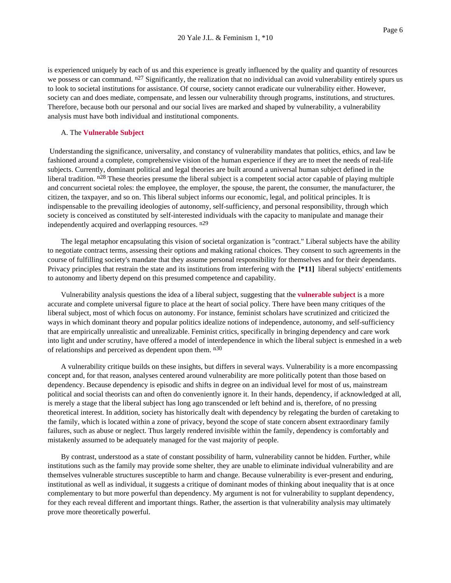is experienced uniquely by each of us and this experience is greatly influenced by the quality and quantity of resources we possess or can command.  $n^{27}$  Significantly, the realization that no individual can avoid vulnerability entirely spurs us to look to societal institutions for assistance. Of course, society cannot eradicate our vulnerability either. However, society can and does mediate, compensate, and lessen our vulnerability through programs, institutions, and structures. Therefore, because both our personal and our social lives are marked and shaped by vulnerability, a vulnerability analysis must have both individual and institutional components.

### A. The **Vulnerable Subject**

Understanding the significance, universality, and constancy of vulnerability mandates that politics, ethics, and law be fashioned around a complete, comprehensive vision of the human experience if they are to meet the needs of real-life subjects. Currently, dominant political and legal theories are built around a universal human subject defined in the liberal tradition. n28 These theories presume the liberal subject is a competent social actor capable of playing multiple and concurrent societal roles: the employee, the employer, the spouse, the parent, the consumer, the manufacturer, the citizen, the taxpayer, and so on. This liberal subject informs our economic, legal, and political principles. It is indispensable to the prevailing ideologies of autonomy, self-sufficiency, and personal responsibility, through which society is conceived as constituted by self-interested individuals with the capacity to manipulate and manage their independently acquired and overlapping resources. n29

The legal metaphor encapsulating this vision of societal organization is "contract." Liberal subjects have the ability to negotiate contract terms, assessing their options and making rational choices. They consent to such agreements in the course of fulfilling society's mandate that they assume personal responsibility for themselves and for their dependants. Privacy principles that restrain the state and its institutions from interfering with the **[\*11]** liberal subjects' entitlements to autonomy and liberty depend on this presumed competence and capability.

Vulnerability analysis questions the idea of a liberal subject, suggesting that the **vulnerable subject** is a more accurate and complete universal figure to place at the heart of social policy. There have been many critiques of the liberal subject, most of which focus on autonomy. For instance, feminist scholars have scrutinized and criticized the ways in which dominant theory and popular politics idealize notions of independence, autonomy, and self-sufficiency that are empirically unrealistic and unrealizable. Feminist critics, specifically in bringing dependency and care work into light and under scrutiny, have offered a model of interdependence in which the liberal subject is enmeshed in a web of relationships and perceived as dependent upon them.  $n30$ 

A vulnerability critique builds on these insights, but differs in several ways. Vulnerability is a more encompassing concept and, for that reason, analyses centered around vulnerability are more politically potent than those based on dependency. Because dependency is episodic and shifts in degree on an individual level for most of us, mainstream political and social theorists can and often do conveniently ignore it. In their hands, dependency, if acknowledged at all, is merely a stage that the liberal subject has long ago transcended or left behind and is, therefore, of no pressing theoretical interest. In addition, society has historically dealt with dependency by relegating the burden of caretaking to the family, which is located within a zone of privacy, beyond the scope of state concern absent extraordinary family failures, such as abuse or neglect. Thus largely rendered invisible within the family, dependency is comfortably and mistakenly assumed to be adequately managed for the vast majority of people.

By contrast, understood as a state of constant possibility of harm, vulnerability cannot be hidden. Further, while institutions such as the family may provide some shelter, they are unable to eliminate individual vulnerability and are themselves vulnerable structures susceptible to harm and change. Because vulnerability is ever-present and enduring, institutional as well as individual, it suggests a critique of dominant modes of thinking about inequality that is at once complementary to but more powerful than dependency. My argument is not for vulnerability to supplant dependency, for they each reveal different and important things. Rather, the assertion is that vulnerability analysis may ultimately prove more theoretically powerful.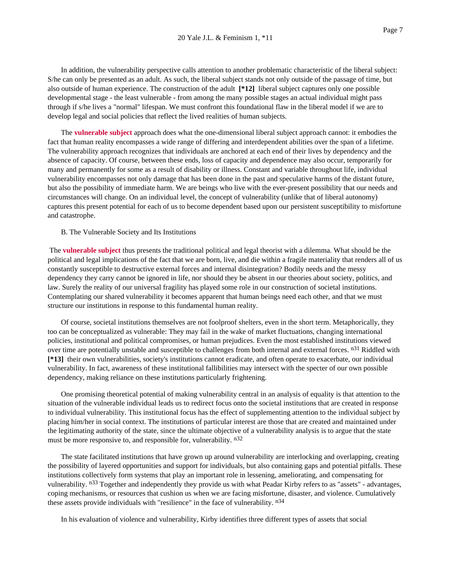In addition, the vulnerability perspective calls attention to another problematic characteristic of the liberal subject: S/he can only be presented as an adult. As such, the liberal subject stands not only outside of the passage of time, but also outside of human experience. The construction of the adult **[\*12]** liberal subject captures only one possible developmental stage - the least vulnerable - from among the many possible stages an actual individual might pass through if s/he lives a "normal" lifespan. We must confront this foundational flaw in the liberal model if we are to develop legal and social policies that reflect the lived realities of human subjects.

The **vulnerable subject** approach does what the one-dimensional liberal subject approach cannot: it embodies the fact that human reality encompasses a wide range of differing and interdependent abilities over the span of a lifetime. The vulnerability approach recognizes that individuals are anchored at each end of their lives by dependency and the absence of capacity. Of course, between these ends, loss of capacity and dependence may also occur, temporarily for many and permanently for some as a result of disability or illness. Constant and variable throughout life, individual vulnerability encompasses not only damage that has been done in the past and speculative harms of the distant future, but also the possibility of immediate harm. We are beings who live with the ever-present possibility that our needs and circumstances will change. On an individual level, the concept of vulnerability (unlike that of liberal autonomy) captures this present potential for each of us to become dependent based upon our persistent susceptibility to misfortune and catastrophe.

## B. The Vulnerable Society and Its Institutions

The **vulnerable subject** thus presents the traditional political and legal theorist with a dilemma. What should be the political and legal implications of the fact that we are born, live, and die within a fragile materiality that renders all of us constantly susceptible to destructive external forces and internal disintegration? Bodily needs and the messy dependency they carry cannot be ignored in life, nor should they be absent in our theories about society, politics, and law. Surely the reality of our universal fragility has played some role in our construction of societal institutions. Contemplating our shared vulnerability it becomes apparent that human beings need each other, and that we must structure our institutions in response to this fundamental human reality.

Of course, societal institutions themselves are not foolproof shelters, even in the short term. Metaphorically, they too can be conceptualized as vulnerable: They may fail in the wake of market fluctuations, changing international policies, institutional and political compromises, or human prejudices. Even the most established institutions viewed over time are potentially unstable and susceptible to challenges from both internal and external forces. n<sup>31</sup> Riddled with **[\*13]** their own vulnerabilities, society's institutions cannot eradicate, and often operate to exacerbate, our individual vulnerability. In fact, awareness of these institutional fallibilities may intersect with the specter of our own possible dependency, making reliance on these institutions particularly frightening.

One promising theoretical potential of making vulnerability central in an analysis of equality is that attention to the situation of the vulnerable individual leads us to redirect focus onto the societal institutions that are created in response to individual vulnerability. This institutional focus has the effect of supplementing attention to the individual subject by placing him/her in social context. The institutions of particular interest are those that are created and maintained under the legitimating authority of the state, since the ultimate objective of a vulnerability analysis is to argue that the state must be more responsive to, and responsible for, vulnerability.  $n^{32}$ 

The state facilitated institutions that have grown up around vulnerability are interlocking and overlapping, creating the possibility of layered opportunities and support for individuals, but also containing gaps and potential pitfalls. These institutions collectively form systems that play an important role in lessening, ameliorating, and compensating for vulnerability. n33 Together and independently they provide us with what Peadar Kirby refers to as "assets" - advantages, coping mechanisms, or resources that cushion us when we are facing misfortune, disaster, and violence. Cumulatively these assets provide individuals with "resilience" in the face of vulnerability.  $n^{34}$ 

In his evaluation of violence and vulnerability, Kirby identifies three different types of assets that social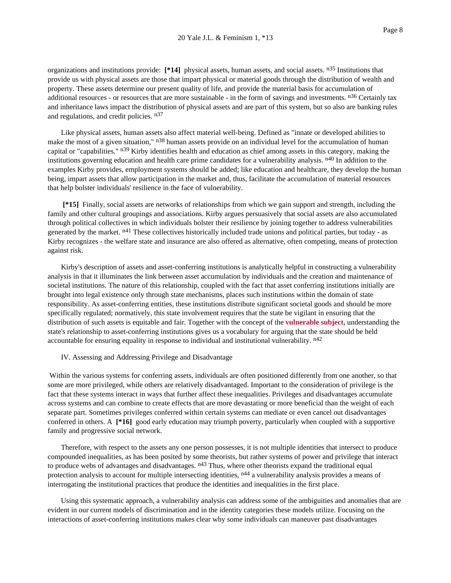organizations and institutions provide: **[\*14]** physical assets, human assets, and social assets. n35 Institutions that provide us with physical assets are those that impart physical or material goods through the distribution of wealth and property. These assets determine our present quality of life, and provide the material basis for accumulation of additional resources - or resources that are more sustainable - in the form of savings and investments. n<sup>36</sup> Certainly tax and inheritance laws impact the distribution of physical assets and are part of this system, but so also are banking rules and regulations, and credit policies. n<sup>37</sup>

Like physical assets, human assets also affect material well-being. Defined as "innate or developed abilities to make the most of a given situation," n<sup>38</sup> human assets provide on an individual level for the accumulation of human capital or "capabilities." n<sup>39</sup> Kirby identifies health and education as chief among assets in this category, making the institutions governing education and health care prime candidates for a vulnerability analysis. <sup>n40</sup> In addition to the examples Kirby provides, employment systems should be added; like education and healthcare, they develop the human being, impart assets that allow participation in the market and, thus, facilitate the accumulation of material resources that help bolster individuals' resilience in the face of vulnerability.

**[\*15]** Finally, social assets are networks of relationships from which we gain support and strength, including the family and other cultural groupings and associations. Kirby argues persuasively that social assets are also accumulated through political collectives in which individuals bolster their resilience by joining together to address vulnerabilities generated by the market. <sup>n41</sup> These collectives historically included trade unions and political parties, but today - as Kirby recognizes - the welfare state and insurance are also offered as alternative, often competing, means of protection against risk.

Kirby's description of assets and asset-conferring institutions is analytically helpful in constructing a vulnerability analysis in that it illuminates the link between asset accumulation by individuals and the creation and maintenance of societal institutions. The nature of this relationship, coupled with the fact that asset conferring institutions initially are brought into legal existence only through state mechanisms, places such institutions within the domain of state responsibility. As asset-conferring entities, these institutions distribute significant societal goods and should be more specifically regulated; normatively, this state involvement requires that the state be vigilant in ensuring that the distribution of such assets is equitable and fair. Together with the concept of the **vulnerable subject,** understanding the state's relationship to asset-conferring institutions gives us a vocabulary for arguing that the state should be held accountable for ensuring equality in response to individual and institutional vulnerability.  $n42$ 

### IV. Assessing and Addressing Privilege and Disadvantage

Within the various systems for conferring assets, individuals are often positioned differently from one another, so that some are more privileged, while others are relatively disadvantaged. Important to the consideration of privilege is the fact that these systems interact in ways that further affect these inequalities. Privileges and disadvantages accumulate across systems and can combine to create effects that are more devastating or more beneficial than the weight of each separate part. Sometimes privileges conferred within certain systems can mediate or even cancel out disadvantages conferred in others. A **[\*16]** good early education may triumph poverty, particularly when coupled with a supportive family and progressive social network.

Therefore, with respect to the assets any one person possesses, it is not multiple identities that intersect to produce compounded inequalities, as has been posited by some theorists, but rather systems of power and privilege that interact to produce webs of advantages and disadvantages.  $n43$  Thus, where other theorists expand the traditional equal protection analysis to account for multiple intersecting identities,  $n<sup>44</sup>$  a vulnerability analysis provides a means of interrogating the institutional practices that produce the identities and inequalities in the first place.

Using this systematic approach, a vulnerability analysis can address some of the ambiguities and anomalies that are evident in our current models of discrimination and in the identity categories these models utilize. Focusing on the interactions of asset-conferring institutions makes clear why some individuals can maneuver past disadvantages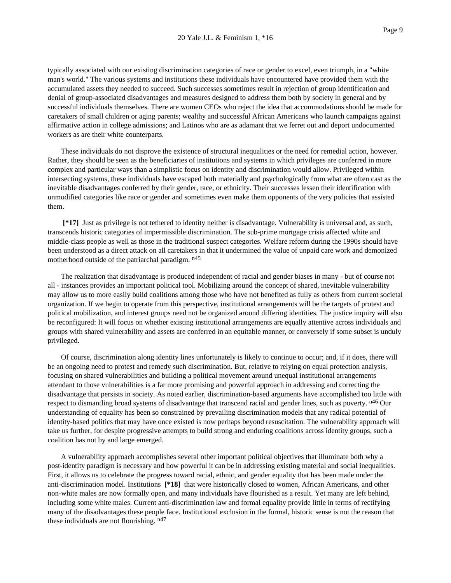typically associated with our existing discrimination categories of race or gender to excel, even triumph, in a "white man's world." The various systems and institutions these individuals have encountered have provided them with the accumulated assets they needed to succeed. Such successes sometimes result in rejection of group identification and denial of group-associated disadvantages and measures designed to address them both by society in general and by successful individuals themselves. There are women CEOs who reject the idea that accommodations should be made for caretakers of small children or aging parents; wealthy and successful African Americans who launch campaigns against affirmative action in college admissions; and Latinos who are as adamant that we ferret out and deport undocumented workers as are their white counterparts.

These individuals do not disprove the existence of structural inequalities or the need for remedial action, however. Rather, they should be seen as the beneficiaries of institutions and systems in which privileges are conferred in more complex and particular ways than a simplistic focus on identity and discrimination would allow. Privileged within intersecting systems, these individuals have escaped both materially and psychologically from what are often cast as the inevitable disadvantages conferred by their gender, race, or ethnicity. Their successes lessen their identification with unmodified categories like race or gender and sometimes even make them opponents of the very policies that assisted them.

**[\*17]** Just as privilege is not tethered to identity neither is disadvantage. Vulnerability is universal and, as such, transcends historic categories of impermissible discrimination. The sub-prime mortgage crisis affected white and middle-class people as well as those in the traditional suspect categories. Welfare reform during the 1990s should have been understood as a direct attack on all caretakers in that it undermined the value of unpaid care work and demonized motherhood outside of the patriarchal paradigm.  $n45$ 

The realization that disadvantage is produced independent of racial and gender biases in many - but of course not all - instances provides an important political tool. Mobilizing around the concept of shared, inevitable vulnerability may allow us to more easily build coalitions among those who have not benefited as fully as others from current societal organization. If we begin to operate from this perspective, institutional arrangements will be the targets of protest and political mobilization, and interest groups need not be organized around differing identities. The justice inquiry will also be reconfigured: It will focus on whether existing institutional arrangements are equally attentive across individuals and groups with shared vulnerability and assets are conferred in an equitable manner, or conversely if some subset is unduly privileged.

Of course, discrimination along identity lines unfortunately is likely to continue to occur; and, if it does, there will be an ongoing need to protest and remedy such discrimination. But, relative to relying on equal protection analysis, focusing on shared vulnerabilities and building a political movement around unequal institutional arrangements attendant to those vulnerabilities is a far more promising and powerful approach in addressing and correcting the disadvantage that persists in society. As noted earlier, discrimination-based arguments have accomplished too little with respect to dismantling broad systems of disadvantage that transcend racial and gender lines, such as poverty. <sup>n46</sup> Our understanding of equality has been so constrained by prevailing discrimination models that any radical potential of identity-based politics that may have once existed is now perhaps beyond resuscitation. The vulnerability approach will take us further, for despite progressive attempts to build strong and enduring coalitions across identity groups, such a coalition has not by and large emerged.

A vulnerability approach accomplishes several other important political objectives that illuminate both why a post-identity paradigm is necessary and how powerful it can be in addressing existing material and social inequalities. First, it allows us to celebrate the progress toward racial, ethnic, and gender equality that has been made under the anti-discrimination model. Institutions **[\*18]** that were historically closed to women, African Americans, and other non-white males are now formally open, and many individuals have flourished as a result. Yet many are left behind, including some white males. Current anti-discrimination law and formal equality provide little in terms of rectifying many of the disadvantages these people face. Institutional exclusion in the formal, historic sense is not the reason that these individuals are not flourishing. n47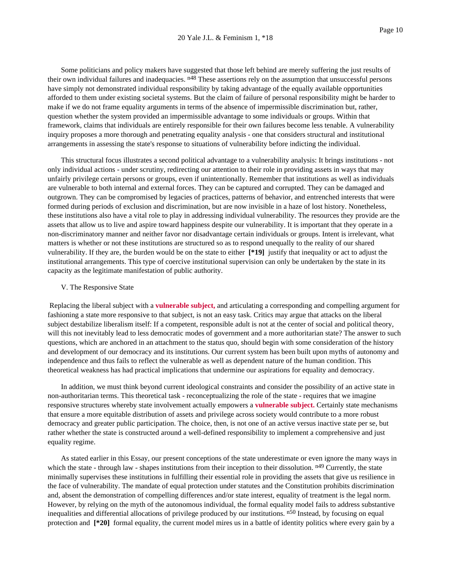Some politicians and policy makers have suggested that those left behind are merely suffering the just results of their own individual failures and inadequacies. <sup>n48</sup> These assertions rely on the assumption that unsuccessful persons have simply not demonstrated individual responsibility by taking advantage of the equally available opportunities afforded to them under existing societal systems. But the claim of failure of personal responsibility might be harder to make if we do not frame equality arguments in terms of the absence of impermissible discrimination but, rather, question whether the system provided an impermissible advantage to some individuals or groups. Within that framework, claims that individuals are entirely responsible for their own failures become less tenable. A vulnerability inquiry proposes a more thorough and penetrating equality analysis - one that considers structural and institutional arrangements in assessing the state's response to situations of vulnerability before indicting the individual.

This structural focus illustrates a second political advantage to a vulnerability analysis: It brings institutions - not only individual actions - under scrutiny, redirecting our attention to their role in providing assets in ways that may unfairly privilege certain persons or groups, even if unintentionally. Remember that institutions as well as individuals are vulnerable to both internal and external forces. They can be captured and corrupted. They can be damaged and outgrown. They can be compromised by legacies of practices, patterns of behavior, and entrenched interests that were formed during periods of exclusion and discrimination, but are now invisible in a haze of lost history. Nonetheless, these institutions also have a vital role to play in addressing individual vulnerability. The resources they provide are the assets that allow us to live and aspire toward happiness despite our vulnerability. It is important that they operate in a non-discriminatory manner and neither favor nor disadvantage certain individuals or groups. Intent is irrelevant, what matters is whether or not these institutions are structured so as to respond unequally to the reality of our shared vulnerability. If they are, the burden would be on the state to either **[\*19]** justify that inequality or act to adjust the institutional arrangements. This type of coercive institutional supervision can only be undertaken by the state in its capacity as the legitimate manifestation of public authority.

### V. The Responsive State

Replacing the liberal subject with a **vulnerable subject,** and articulating a corresponding and compelling argument for fashioning a state more responsive to that subject, is not an easy task. Critics may argue that attacks on the liberal subject destabilize liberalism itself: If a competent, responsible adult is not at the center of social and political theory, will this not inevitably lead to less democratic modes of government and a more authoritarian state? The answer to such questions, which are anchored in an attachment to the status quo, should begin with some consideration of the history and development of our democracy and its institutions. Our current system has been built upon myths of autonomy and independence and thus fails to reflect the vulnerable as well as dependent nature of the human condition. This theoretical weakness has had practical implications that undermine our aspirations for equality and democracy.

In addition, we must think beyond current ideological constraints and consider the possibility of an active state in non-authoritarian terms. This theoretical task - reconceptualizing the role of the state - requires that we imagine responsive structures whereby state involvement actually empowers a **vulnerable subject.** Certainly state mechanisms that ensure a more equitable distribution of assets and privilege across society would contribute to a more robust democracy and greater public participation. The choice, then, is not one of an active versus inactive state per se, but rather whether the state is constructed around a well-defined responsibility to implement a comprehensive and just equality regime.

As stated earlier in this Essay, our present conceptions of the state underestimate or even ignore the many ways in which the state - through law - shapes institutions from their inception to their dissolution. n<sup>49</sup> Currently, the state minimally supervises these institutions in fulfilling their essential role in providing the assets that give us resilience in the face of vulnerability. The mandate of equal protection under statutes and the Constitution prohibits discrimination and, absent the demonstration of compelling differences and/or state interest, equality of treatment is the legal norm. However, by relying on the myth of the autonomous individual, the formal equality model fails to address substantive inequalities and differential allocations of privilege produced by our institutions. n<sup>50</sup> Instead, by focusing on equal protection and **[\*20]** formal equality, the current model mires us in a battle of identity politics where every gain by a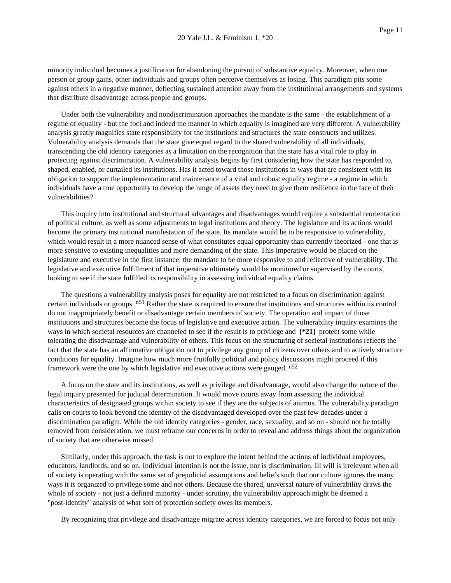minority individual becomes a justification for abandoning the pursuit of substantive equality. Moreover, when one person or group gains, other individuals and groups often perceive themselves as losing. This paradigm pits some against others in a negative manner, deflecting sustained attention away from the institutional arrangements and systems that distribute disadvantage across people and groups.

Under both the vulnerability and nondiscrimination approaches the mandate is the same - the establishment of a regime of equality - but the foci and indeed the manner in which equality is imagined are very different. A vulnerability analysis greatly magnifies state responsibility for the institutions and structures the state constructs and utilizes. Vulnerability analysis demands that the state give equal regard to the shared vulnerability of all individuals, transcending the old identity categories as a limitation on the recognition that the state has a vital role to play in protecting against discrimination. A vulnerability analysis begins by first considering how the state has responded to, shaped, enabled, or curtailed its institutions. Has it acted toward those institutions in ways that are consistent with its obligation to support the implementation and maintenance of a vital and robust equality regime - a regime in which individuals have a true opportunity to develop the range of assets they need to give them resilience in the face of their vulnerabilities?

This inquiry into institutional and structural advantages and disadvantages would require a substantial reorientation of political culture, as well as some adjustments to legal institutions and theory. The legislature and its actions would become the primary institutional manifestation of the state. Its mandate would be to be responsive to vulnerability, which would result in a more nuanced sense of what constitutes equal opportunity than currently theorized - one that is more sensitive to existing inequalities and more demanding of the state. This imperative would be placed on the legislature and executive in the first instance: the mandate to be more responsive to and reflective of vulnerability. The legislative and executive fulfillment of that imperative ultimately would be monitored or supervised by the courts, looking to see if the state fulfilled its responsibility in assessing individual equality claims.

The questions a vulnerability analysis poses for equality are not restricted to a focus on discrimination against certain individuals or groups. n51 Rather the state is required to ensure that institutions and structures within its control do not inappropriately benefit or disadvantage certain members of society. The operation and impact of those institutions and structures become the focus of legislative and executive action. The vulnerability inquiry examines the ways in which societal resources are channeled to see if the result is to privilege and **[\*21]** protect some while tolerating the disadvantage and vulnerability of others. This focus on the structuring of societal institutions reflects the fact that the state has an affirmative obligation not to privilege any group of citizens over others and to actively structure conditions for equality. Imagine how much more fruitfully political and policy discussions might proceed if this framework were the one by which legislative and executive actions were gauged.  $n52$ 

A focus on the state and its institutions, as well as privilege and disadvantage, would also change the nature of the legal inquiry presented for judicial determination. It would move courts away from assessing the individual characteristics of designated groups within society to see if they are the subjects of animus. The vulnerability paradigm calls on courts to look beyond the identity of the disadvantaged developed over the past few decades under a discrimination paradigm. While the old identity categories - gender, race, sexuality, and so on - should not be totally removed from consideration, we must reframe our concerns in order to reveal and address things about the organization of society that are otherwise missed.

Similarly, under this approach, the task is not to explore the intent behind the actions of individual employees, educators, landlords, and so on. Individual intention is not the issue, nor is discrimination. Ill will is irrelevant when all of society is operating with the same set of prejudicial assumptions and beliefs such that our culture ignores the many ways it is organized to privilege some and not others. Because the shared, universal nature of vulnerability draws the whole of society - not just a defined minority - under scrutiny, the vulnerability approach might be deemed a "post-identity" analysis of what sort of protection society owes its members.

By recognizing that privilege and disadvantage migrate across identity categories, we are forced to focus not only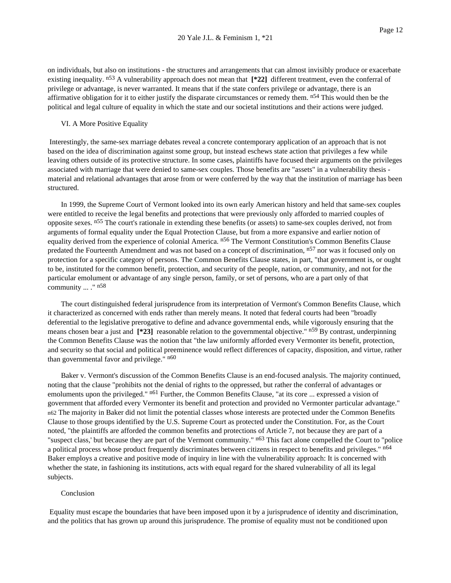on individuals, but also on institutions - the structures and arrangements that can almost invisibly produce or exacerbate existing inequality. n53 A vulnerability approach does not mean that **[\*22]** different treatment, even the conferral of privilege or advantage, is never warranted. It means that if the state confers privilege or advantage, there is an affirmative obligation for it to either justify the disparate circumstances or remedy them.  $n<sup>54</sup>$  This would then be the political and legal culture of equality in which the state and our societal institutions and their actions were judged.

#### VI. A More Positive Equality

Interestingly, the same-sex marriage debates reveal a concrete contemporary application of an approach that is not based on the idea of discrimination against some group, but instead eschews state action that privileges a few while leaving others outside of its protective structure. In some cases, plaintiffs have focused their arguments on the privileges associated with marriage that were denied to same-sex couples. Those benefits are "assets" in a vulnerability thesis material and relational advantages that arose from or were conferred by the way that the institution of marriage has been structured.

In 1999, the Supreme Court of Vermont looked into its own early American history and held that same-sex couples were entitled to receive the legal benefits and protections that were previously only afforded to married couples of opposite sexes. n<sup>55</sup> The court's rationale in extending these benefits (or assets) to same-sex couples derived, not from arguments of formal equality under the Equal Protection Clause, but from a more expansive and earlier notion of equality derived from the experience of colonial America. n<sup>56</sup> The Vermont Constitution's Common Benefits Clause predated the Fourteenth Amendment and was not based on a concept of discrimination, n57 nor was it focused only on protection for a specific category of persons. The Common Benefits Clause states, in part, "that government is, or ought to be, instituted for the common benefit, protection, and security of the people, nation, or community, and not for the particular emolument or advantage of any single person, family, or set of persons, who are a part only of that community ... ." n58

The court distinguished federal jurisprudence from its interpretation of Vermont's Common Benefits Clause, which it characterized as concerned with ends rather than merely means. It noted that federal courts had been "broadly deferential to the legislative prerogative to define and advance governmental ends, while vigorously ensuring that the means chosen bear a just and **[\*23]** reasonable relation to the governmental objective." n59 By contrast, underpinning the Common Benefits Clause was the notion that "the law uniformly afforded every Vermonter its benefit, protection, and security so that social and political preeminence would reflect differences of capacity, disposition, and virtue, rather than governmental favor and privilege."  $n60$ 

Baker v. Vermont's discussion of the Common Benefits Clause is an end-focused analysis. The majority continued, noting that the clause "prohibits not the denial of rights to the oppressed, but rather the conferral of advantages or emoluments upon the privileged." n<sup>61</sup> Further, the Common Benefits Clause, "at its core ... expressed a vision of government that afforded every Vermonter its benefit and protection and provided no Vermonter particular advantage." n62 The majority in Baker did not limit the potential classes whose interests are protected under the Common Benefits Clause to those groups identified by the U.S. Supreme Court as protected under the Constitution. For, as the Court noted, "the plaintiffs are afforded the common benefits and protections of Article 7, not because they are part of a "suspect class,' but because they are part of the Vermont community." n<sup>63</sup> This fact alone compelled the Court to "police" a political process whose product frequently discriminates between citizens in respect to benefits and privileges." n64 Baker employs a creative and positive mode of inquiry in line with the vulnerability approach: It is concerned with whether the state, in fashioning its institutions, acts with equal regard for the shared vulnerability of all its legal subjects.

### Conclusion

Equality must escape the boundaries that have been imposed upon it by a jurisprudence of identity and discrimination, and the politics that has grown up around this jurisprudence. The promise of equality must not be conditioned upon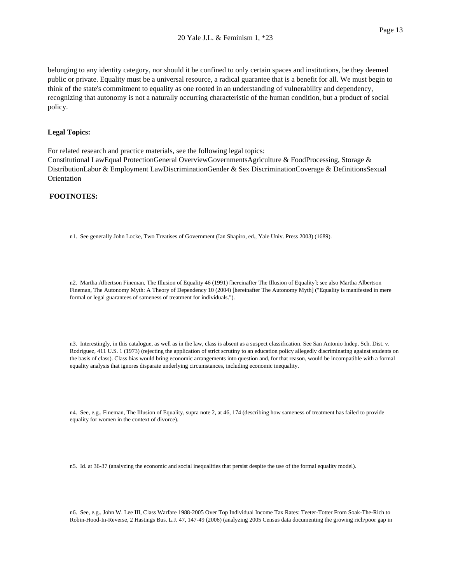belonging to any identity category, nor should it be confined to only certain spaces and institutions, be they deemed public or private. Equality must be a universal resource, a radical guarantee that is a benefit for all. We must begin to think of the state's commitment to equality as one rooted in an understanding of vulnerability and dependency, recognizing that autonomy is not a naturally occurring characteristic of the human condition, but a product of social policy.

## **Legal Topics:**

For related research and practice materials, see the following legal topics:

Constitutional LawEqual ProtectionGeneral OverviewGovernmentsAgriculture & FoodProcessing, Storage & DistributionLabor & Employment LawDiscriminationGender & Sex DiscriminationCoverage & DefinitionsSexual **Orientation** 

# **FOOTNOTES:**

n1. See generally John Locke, Two Treatises of Government (Ian Shapiro, ed., Yale Univ. Press 2003) (1689).

n2. Martha Albertson Fineman, The Illusion of Equality 46 (1991) [hereinafter The Illusion of Equality]; see also Martha Albertson Fineman, The Autonomy Myth: A Theory of Dependency 10 (2004) [hereinafter The Autonomy Myth] ("Equality is manifested in mere formal or legal guarantees of sameness of treatment for individuals.").

n3. Interestingly, in this catalogue, as well as in the law, class is absent as a suspect classification. See San Antonio Indep. Sch. Dist. v. Rodriguez, 411 U.S. 1 (1973) (rejecting the application of strict scrutiny to an education policy allegedly discriminating against students on the basis of class). Class bias would bring economic arrangements into question and, for that reason, would be incompatible with a formal equality analysis that ignores disparate underlying circumstances, including economic inequality.

n4. See, e.g., Fineman, The Illusion of Equality, supra note 2, at 46, 174 (describing how sameness of treatment has failed to provide equality for women in the context of divorce).

n5. Id. at 36-37 (analyzing the economic and social inequalities that persist despite the use of the formal equality model).

n6. See, e.g., John W. Lee III, Class Warfare 1988-2005 Over Top Individual Income Tax Rates: Teeter-Totter From Soak-The-Rich to Robin-Hood-In-Reverse, 2 Hastings Bus. L.J. 47, 147-49 (2006) (analyzing 2005 Census data documenting the growing rich/poor gap in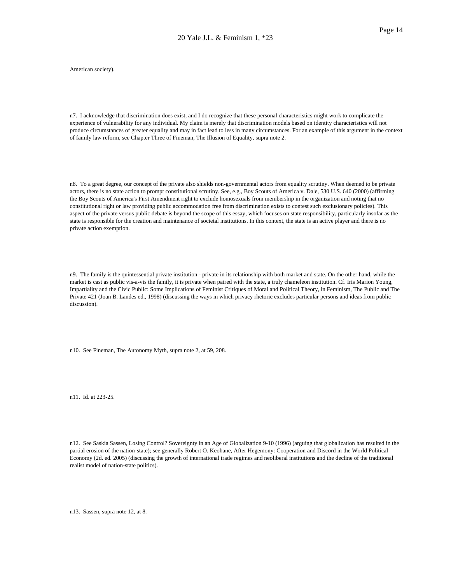American society).

n7. I acknowledge that discrimination does exist, and I do recognize that these personal characteristics might work to complicate the experience of vulnerability for any individual. My claim is merely that discrimination models based on identity characteristics will not produce circumstances of greater equality and may in fact lead to less in many circumstances. For an example of this argument in the context of family law reform, see Chapter Three of Fineman, The Illusion of Equality, supra note 2.

n8. To a great degree, our concept of the private also shields non-governmental actors from equality scrutiny. When deemed to be private actors, there is no state action to prompt constitutional scrutiny. See, e.g., Boy Scouts of America v. Dale, 530 U.S. 640 (2000) (affirming the Boy Scouts of America's First Amendment right to exclude homosexuals from membership in the organization and noting that no constitutional right or law providing public accommodation free from discrimination exists to contest such exclusionary policies). This aspect of the private versus public debate is beyond the scope of this essay, which focuses on state responsibility, particularly insofar as the state is responsible for the creation and maintenance of societal institutions. In this context, the state is an active player and there is no private action exemption.

n9. The family is the quintessential private institution - private in its relationship with both market and state. On the other hand, while the market is cast as public vis-a-vis the family, it is private when paired with the state, a truly chameleon institution. Cf. Iris Marion Young, Impartiality and the Civic Public: Some Implications of Feminist Critiques of Moral and Political Theory, in Feminism, The Public and The Private 421 (Joan B. Landes ed., 1998) (discussing the ways in which privacy rhetoric excludes particular persons and ideas from public discussion).

n10. See Fineman, The Autonomy Myth, supra note 2, at 59, 208.

n11. Id. at 223-25.

n12. See Saskia Sassen, Losing Control? Sovereignty in an Age of Globalization 9-10 (1996) (arguing that globalization has resulted in the partial erosion of the nation-state); see generally Robert O. Keohane, After Hegemony: Cooperation and Discord in the World Political Economy (2d. ed. 2005) (discussing the growth of international trade regimes and neoliberal institutions and the decline of the traditional realist model of nation-state politics).

n13. Sassen, supra note 12, at 8.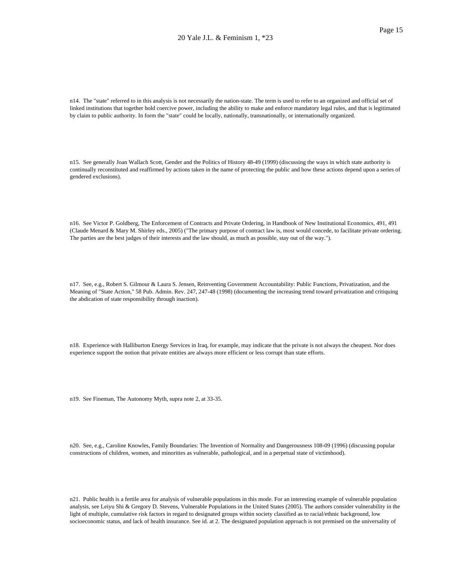n14. The "state" referred to in this analysis is not necessarily the nation-state. The term is used to refer to an organized and official set of linked institutions that together hold coercive power, including the ability to make and enforce mandatory legal rules, and that is legitimated by claim to public authority. In form the "state" could be locally, nationally, transnationally, or internationally organized.

n15. See generally Joan Wallach Scott, Gender and the Politics of History 48-49 (1999) (discussing the ways in which state authority is continually reconstituted and reaffirmed by actions taken in the name of protecting the public and how these actions depend upon a series of gendered exclusions).

n16. See Victor P. Goldberg, The Enforcement of Contracts and Private Ordering, in Handbook of New Institutional Economics, 491, 491 (Claude Menard & Mary M. Shirley eds., 2005) ("The primary purpose of contract law is, most would concede, to facilitate private ordering. The parties are the best judges of their interests and the law should, as much as possible, stay out of the way.").

n17. See, e.g., Robert S. Gilmour & Laura S. Jensen, Reinventing Government Accountability: Public Functions, Privatization, and the Meaning of "State Action," 58 Pub. Admin. Rev. 247, 247-48 (1998) (documenting the increasing trend toward privatization and critiquing the abdication of state responsibility through inaction).

n18. Experience with Halliburton Energy Services in Iraq, for example, may indicate that the private is not always the cheapest. Nor does experience support the notion that private entities are always more efficient or less corrupt than state efforts.

n19. See Fineman, The Autonomy Myth, supra note 2, at 33-35.

n20. See, e.g., Caroline Knowles, Family Boundaries: The Invention of Normality and Dangerousness 108-09 (1996) (discussing popular constructions of children, women, and minorities as vulnerable, pathological, and in a perpetual state of victimhood).

n21. Public health is a fertile area for analysis of vulnerable populations in this mode. For an interesting example of vulnerable population analysis, see Leiyu Shi & Gregory D. Stevens, Vulnerable Populations in the United States (2005). The authors consider vulnerability in the light of multiple, cumulative risk factors in regard to designated groups within society classified as to racial/ethnic background, low socioeconomic status, and lack of health insurance. See id. at 2. The designated population approach is not premised on the universality of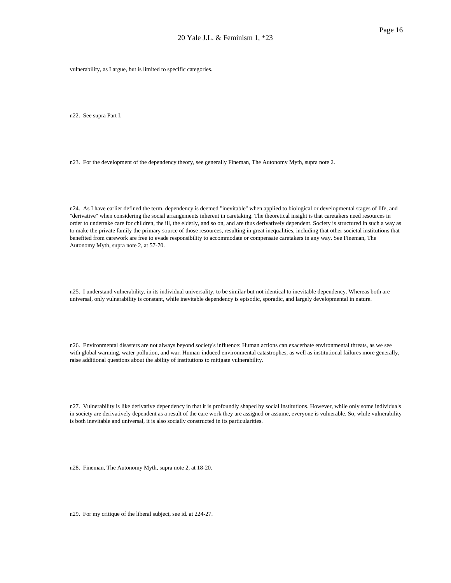vulnerability, as I argue, but is limited to specific categories.

n22. See supra Part I.

n23. For the development of the dependency theory, see generally Fineman, The Autonomy Myth, supra note 2.

n24. As I have earlier defined the term, dependency is deemed "inevitable" when applied to biological or developmental stages of life, and "derivative" when considering the social arrangements inherent in caretaking. The theoretical insight is that caretakers need resources in order to undertake care for children, the ill, the elderly, and so on, and are thus derivatively dependent. Society is structured in such a way as to make the private family the primary source of those resources, resulting in great inequalities, including that other societal institutions that benefited from carework are free to evade responsibility to accommodate or compensate caretakers in any way. See Fineman, The Autonomy Myth, supra note 2, at 57-70.

n25. I understand vulnerability, in its individual universality, to be similar but not identical to inevitable dependency. Whereas both are universal, only vulnerability is constant, while inevitable dependency is episodic, sporadic, and largely developmental in nature.

n26. Environmental disasters are not always beyond society's influence: Human actions can exacerbate environmental threats, as we see with global warming, water pollution, and war. Human-induced environmental catastrophes, as well as institutional failures more generally, raise additional questions about the ability of institutions to mitigate vulnerability.

n27. Vulnerability is like derivative dependency in that it is profoundly shaped by social institutions. However, while only some individuals in society are derivatively dependent as a result of the care work they are assigned or assume, everyone is vulnerable. So, while vulnerability is both inevitable and universal, it is also socially constructed in its particularities.

n28. Fineman, The Autonomy Myth, supra note 2, at 18-20.

n29. For my critique of the liberal subject, see id. at 224-27.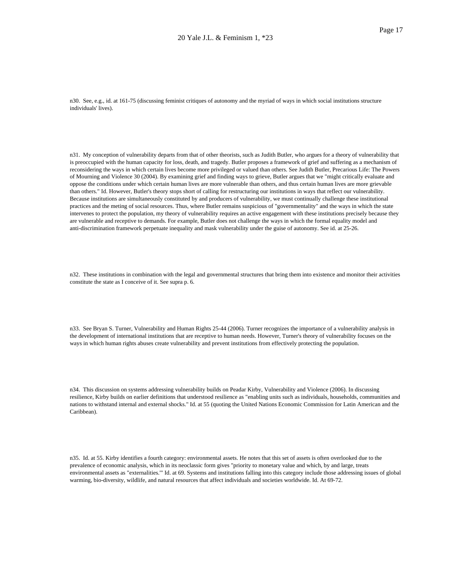n30. See, e.g., id. at 161-75 (discussing feminist critiques of autonomy and the myriad of ways in which social institutions structure individuals' lives).

n31. My conception of vulnerability departs from that of other theorists, such as Judith Butler, who argues for a theory of vulnerability that is preoccupied with the human capacity for loss, death, and tragedy. Butler proposes a framework of grief and suffering as a mechanism of reconsidering the ways in which certain lives become more privileged or valued than others. See Judith Butler, Precarious Life: The Powers of Mourning and Violence 30 (2004). By examining grief and finding ways to grieve, Butler argues that we "might critically evaluate and oppose the conditions under which certain human lives are more vulnerable than others, and thus certain human lives are more grievable than others." Id. However, Butler's theory stops short of calling for restructuring our institutions in ways that reflect our vulnerability. Because institutions are simultaneously constituted by and producers of vulnerability, we must continually challenge these institutional practices and the meting of social resources. Thus, where Butler remains suspicious of "governmentality" and the ways in which the state intervenes to protect the population, my theory of vulnerability requires an active engagement with these institutions precisely because they are vulnerable and receptive to demands. For example, Butler does not challenge the ways in which the formal equality model and anti-discrimination framework perpetuate inequality and mask vulnerability under the guise of autonomy. See id. at 25-26.

n32. These institutions in combination with the legal and governmental structures that bring them into existence and monitor their activities constitute the state as I conceive of it. See supra p. 6.

n33. See Bryan S. Turner, Vulnerability and Human Rights 25-44 (2006). Turner recognizes the importance of a vulnerability analysis in the development of international institutions that are receptive to human needs. However, Turner's theory of vulnerability focuses on the ways in which human rights abuses create vulnerability and prevent institutions from effectively protecting the population.

n34. This discussion on systems addressing vulnerability builds on Peadar Kirby, Vulnerability and Violence (2006). In discussing resilience, Kirby builds on earlier definitions that understood resilience as "enabling units such as individuals, households, communities and nations to withstand internal and external shocks." Id. at 55 (quoting the United Nations Economic Commission for Latin American and the Caribbean).

n35. Id. at 55. Kirby identifies a fourth category: environmental assets. He notes that this set of assets is often overlooked due to the prevalence of economic analysis, which in its neoclassic form gives "priority to monetary value and which, by and large, treats environmental assets as "externalities.'" Id. at 69. Systems and institutions falling into this category include those addressing issues of global warming, bio-diversity, wildlife, and natural resources that affect individuals and societies worldwide. Id. At 69-72.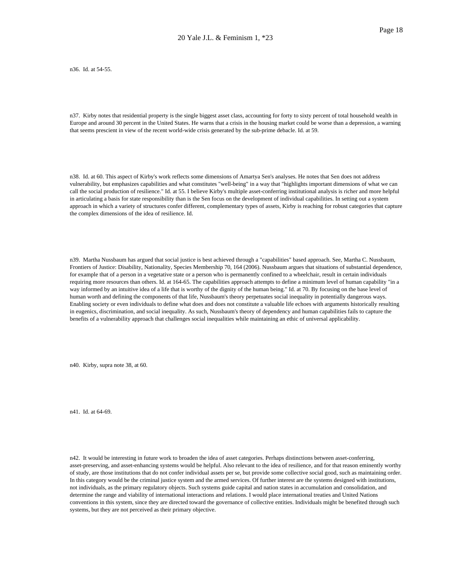n36. Id. at 54-55.

n37. Kirby notes that residential property is the single biggest asset class, accounting for forty to sixty percent of total household wealth in Europe and around 30 percent in the United States. He warns that a crisis in the housing market could be worse than a depression, a warning that seems prescient in view of the recent world-wide crisis generated by the sub-prime debacle. Id. at 59.

n38. Id. at 60. This aspect of Kirby's work reflects some dimensions of Amartya Sen's analyses. He notes that Sen does not address vulnerability, but emphasizes capabilities and what constitutes "well-being" in a way that "highlights important dimensions of what we can call the social production of resilience." Id. at 55. I believe Kirby's multiple asset-conferring institutional analysis is richer and more helpful in articulating a basis for state responsibility than is the Sen focus on the development of individual capabilities. In setting out a system approach in which a variety of structures confer different, complementary types of assets, Kirby is reaching for robust categories that capture the complex dimensions of the idea of resilience. Id.

n39. Martha Nussbaum has argued that social justice is best achieved through a "capabilities" based approach. See, Martha C. Nussbaum, Frontiers of Justice: Disability, Nationality, Species Membership 70, 164 (2006). Nussbaum argues that situations of substantial dependence, for example that of a person in a vegetative state or a person who is permanently confined to a wheelchair, result in certain individuals requiring more resources than others. Id. at 164-65. The capabilities approach attempts to define a minimum level of human capability "in a way informed by an intuitive idea of a life that is worthy of the dignity of the human being." Id. at 70. By focusing on the base level of human worth and defining the components of that life, Nussbaum's theory perpetuates social inequality in potentially dangerous ways. Enabling society or even individuals to define what does and does not constitute a valuable life echoes with arguments historically resulting in eugenics, discrimination, and social inequality. As such, Nussbaum's theory of dependency and human capabilities fails to capture the benefits of a vulnerability approach that challenges social inequalities while maintaining an ethic of universal applicability.

n40. Kirby, supra note 38, at 60.

n41. Id. at 64-69.

n42. It would be interesting in future work to broaden the idea of asset categories. Perhaps distinctions between asset-conferring, asset-preserving, and asset-enhancing systems would be helpful. Also relevant to the idea of resilience, and for that reason eminently worthy of study, are those institutions that do not confer individual assets per se, but provide some collective social good, such as maintaining order. In this category would be the criminal justice system and the armed services. Of further interest are the systems designed with institutions, not individuals, as the primary regulatory objects. Such systems guide capital and nation states in accumulation and consolidation, and determine the range and viability of international interactions and relations. I would place international treaties and United Nations conventions in this system, since they are directed toward the governance of collective entities. Individuals might be benefited through such systems, but they are not perceived as their primary objective.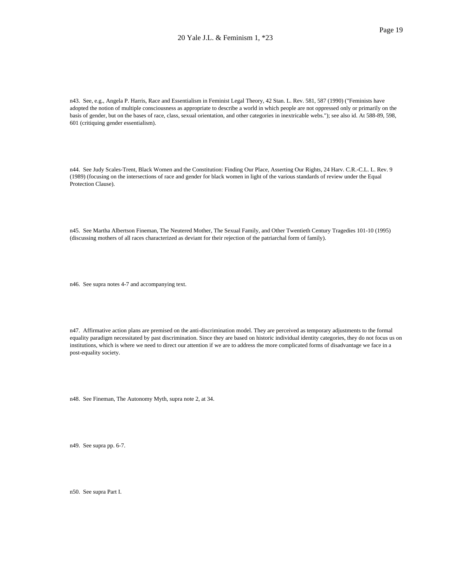n43. See, e.g., Angela P. Harris, Race and Essentialism in Feminist Legal Theory, 42 Stan. L. Rev. 581, 587 (1990) ("Feminists have adopted the notion of multiple consciousness as appropriate to describe a world in which people are not oppressed only or primarily on the basis of gender, but on the bases of race, class, sexual orientation, and other categories in inextricable webs."); see also id. At 588-89, 598, 601 (critiquing gender essentialism).

n44. See Judy Scales-Trent, Black Women and the Constitution: Finding Our Place, Asserting Our Rights, 24 Harv. C.R.-C.L. L. Rev. 9 (1989) (focusing on the intersections of race and gender for black women in light of the various standards of review under the Equal Protection Clause).

n45. See Martha Albertson Fineman, The Neutered Mother, The Sexual Family, and Other Twentieth Century Tragedies 101-10 (1995) (discussing mothers of all races characterized as deviant for their rejection of the patriarchal form of family).

n46. See supra notes 4-7 and accompanying text.

n47. Affirmative action plans are premised on the anti-discrimination model. They are perceived as temporary adjustments to the formal equality paradigm necessitated by past discrimination. Since they are based on historic individual identity categories, they do not focus us on institutions, which is where we need to direct our attention if we are to address the more complicated forms of disadvantage we face in a post-equality society.

n48. See Fineman, The Autonomy Myth, supra note 2, at 34.

n49. See supra pp. 6-7.

n50. See supra Part I.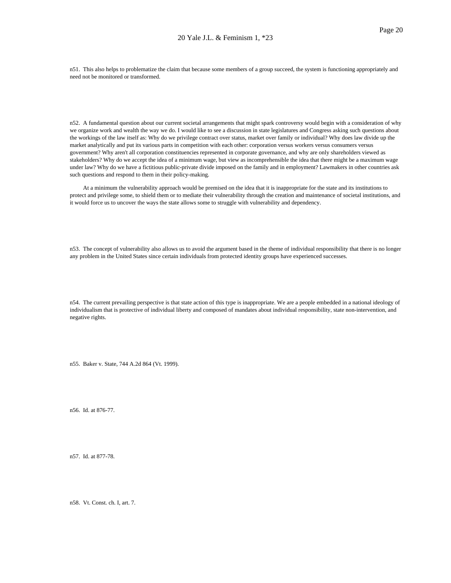n51. This also helps to problematize the claim that because some members of a group succeed, the system is functioning appropriately and need not be monitored or transformed.

n52. A fundamental question about our current societal arrangements that might spark controversy would begin with a consideration of why we organize work and wealth the way we do. I would like to see a discussion in state legislatures and Congress asking such questions about the workings of the law itself as: Why do we privilege contract over status, market over family or individual? Why does law divide up the market analytically and put its various parts in competition with each other: corporation versus workers versus consumers versus government? Why aren't all corporation constituencies represented in corporate governance, and why are only shareholders viewed as stakeholders? Why do we accept the idea of a minimum wage, but view as incomprehensible the idea that there might be a maximum wage under law? Why do we have a fictitious public-private divide imposed on the family and in employment? Lawmakers in other countries ask such questions and respond to them in their policy-making.

At a minimum the vulnerability approach would be premised on the idea that it is inappropriate for the state and its institutions to protect and privilege some, to shield them or to mediate their vulnerability through the creation and maintenance of societal institutions, and it would force us to uncover the ways the state allows some to struggle with vulnerability and dependency.

n53. The concept of vulnerability also allows us to avoid the argument based in the theme of individual responsibility that there is no longer any problem in the United States since certain individuals from protected identity groups have experienced successes.

n54. The current prevailing perspective is that state action of this type is inappropriate. We are a people embedded in a national ideology of individualism that is protective of individual liberty and composed of mandates about individual responsibility, state non-intervention, and negative rights.

n55. Baker v. State, 744 A.2d 864 (Vt. 1999).

n56. Id. at 876-77.

n57. Id. at 877-78.

n58. Vt. Const. ch. I, art. 7.